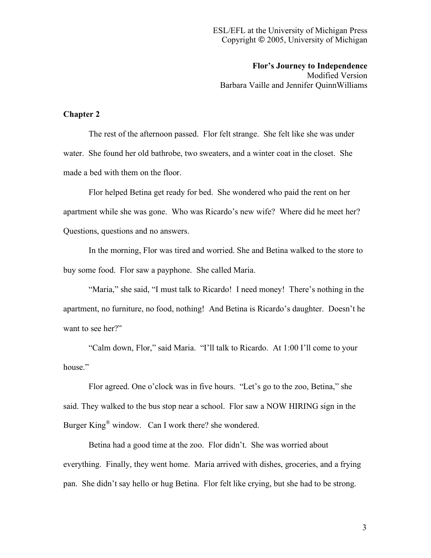**Flor's Journey to Independence** Modified Version Barbara Vaille and Jennifer QuinnWilliams

## **Chapter 2**

The rest of the afternoon passed. Flor felt strange. She felt like she was under water. She found her old bathrobe, two sweaters, and a winter coat in the closet. She made a bed with them on the floor.

Flor helped Betina get ready for bed. She wondered who paid the rent on her apartment while she was gone. Who was Ricardo's new wife? Where did he meet her? Questions, questions and no answers.

In the morning, Flor was tired and worried. She and Betina walked to the store to buy some food. Flor saw a payphone. She called Maria.

"Maria," she said, "I must talk to Ricardo! I need money! There's nothing in the apartment, no furniture, no food, nothing! And Betina is Ricardo's daughter. Doesn't he want to see her?"

"Calm down, Flor," said Maria. "I'll talk to Ricardo. At 1:00 I'll come to your house."

Flor agreed. One o'clock was in five hours. "Let's go to the zoo, Betina," she said. They walked to the bus stop near a school. Flor saw a NOW HIRING sign in the Burger King<sup>®</sup> window. Can I work there? she wondered.

Betina had a good time at the zoo. Flor didn't. She was worried about everything. Finally, they went home. Maria arrived with dishes, groceries, and a frying pan. She didn't say hello or hug Betina. Flor felt like crying, but she had to be strong.